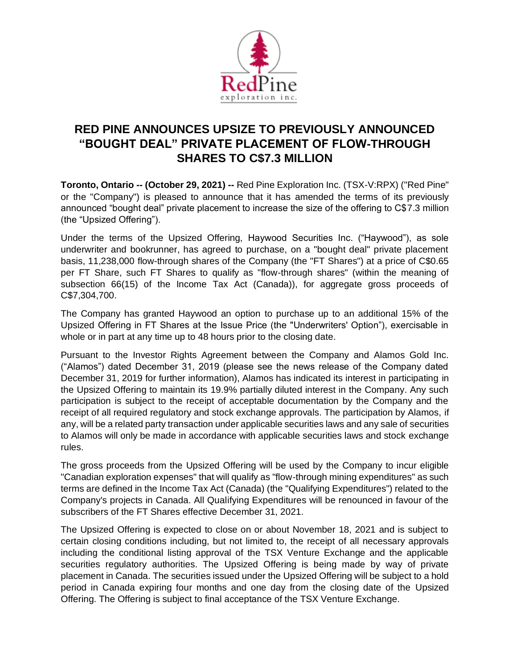

## **RED PINE ANNOUNCES UPSIZE TO PREVIOUSLY ANNOUNCED "BOUGHT DEAL" PRIVATE PLACEMENT OF FLOW-THROUGH SHARES TO C\$7.3 MILLION**

**Toronto, Ontario -- (October 29, 2021) --** Red Pine Exploration Inc. (TSX-V:RPX) ("Red Pine" or the "Company") is pleased to announce that it has amended the terms of its previously announced "bought deal" private placement to increase the size of the offering to C\$7.3 million (the "Upsized Offering").

Under the terms of the Upsized Offering, Haywood Securities Inc. ("Haywood"), as sole underwriter and bookrunner, has agreed to purchase, on a "bought deal" private placement basis, 11,238,000 flow-through shares of the Company (the "FT Shares") at a price of C\$0.65 per FT Share, such FT Shares to qualify as "flow-through shares" (within the meaning of subsection 66(15) of the Income Tax Act (Canada)), for aggregate gross proceeds of C\$7,304,700.

The Company has granted Haywood an option to purchase up to an additional 15% of the Upsized Offering in FT Shares at the Issue Price (the "Underwriters' Option"), exercisable in whole or in part at any time up to 48 hours prior to the closing date.

Pursuant to the Investor Rights Agreement between the Company and Alamos Gold Inc. ("Alamos") dated December 31, 2019 (please see the news release of the Company dated December 31, 2019 for further information), Alamos has indicated its interest in participating in the Upsized Offering to maintain its 19.9% partially diluted interest in the Company. Any such participation is subject to the receipt of acceptable documentation by the Company and the receipt of all required regulatory and stock exchange approvals. The participation by Alamos, if any, will be a related party transaction under applicable securities laws and any sale of securities to Alamos will only be made in accordance with applicable securities laws and stock exchange rules.

The gross proceeds from the Upsized Offering will be used by the Company to incur eligible "Canadian exploration expenses" that will qualify as "flow-through mining expenditures" as such terms are defined in the Income Tax Act (Canada) (the "Qualifying Expenditures") related to the Company's projects in Canada. All Qualifying Expenditures will be renounced in favour of the subscribers of the FT Shares effective December 31, 2021.

The Upsized Offering is expected to close on or about November 18, 2021 and is subject to certain closing conditions including, but not limited to, the receipt of all necessary approvals including the conditional listing approval of the TSX Venture Exchange and the applicable securities regulatory authorities. The Upsized Offering is being made by way of private placement in Canada. The securities issued under the Upsized Offering will be subject to a hold period in Canada expiring four months and one day from the closing date of the Upsized Offering. The Offering is subject to final acceptance of the TSX Venture Exchange.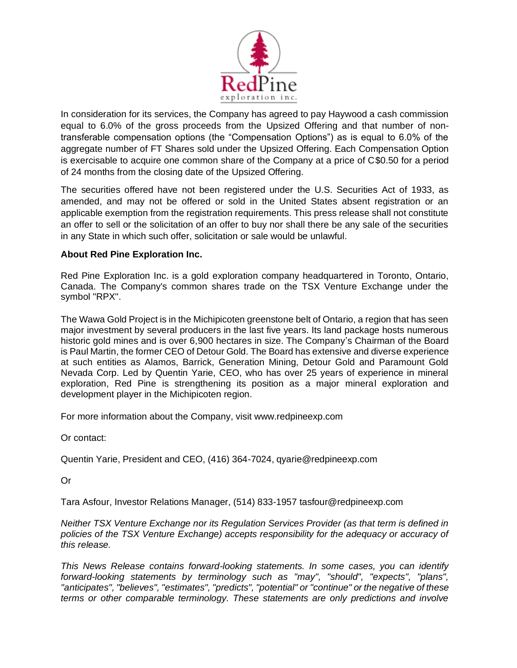

In consideration for its services, the Company has agreed to pay Haywood a cash commission equal to 6.0% of the gross proceeds from the Upsized Offering and that number of nontransferable compensation options (the "Compensation Options") as is equal to 6.0% of the aggregate number of FT Shares sold under the Upsized Offering. Each Compensation Option is exercisable to acquire one common share of the Company at a price of C\$0.50 for a period of 24 months from the closing date of the Upsized Offering.

The securities offered have not been registered under the U.S. Securities Act of 1933, as amended, and may not be offered or sold in the United States absent registration or an applicable exemption from the registration requirements. This press release shall not constitute an offer to sell or the solicitation of an offer to buy nor shall there be any sale of the securities in any State in which such offer, solicitation or sale would be unlawful.

## **About Red Pine Exploration Inc.**

Red Pine Exploration Inc. is a gold exploration company headquartered in Toronto, Ontario, Canada. The Company's common shares trade on the TSX Venture Exchange under the symbol "RPX".

The Wawa Gold Project is in the Michipicoten greenstone belt of Ontario, a region that has seen major investment by several producers in the last five years. Its land package hosts numerous historic gold mines and is over 6,900 hectares in size. The Company's Chairman of the Board is Paul Martin, the former CEO of Detour Gold. The Board has extensive and diverse experience at such entities as Alamos, Barrick, Generation Mining, Detour Gold and Paramount Gold Nevada Corp. Led by Quentin Yarie, CEO, who has over 25 years of experience in mineral exploration, Red Pine is strengthening its position as a major mineral exploration and development player in the Michipicoten region.

For more information about the Company, visit www.redpineexp.com

Or contact:

Quentin Yarie, President and CEO, (416) 364-7024, qyarie@redpineexp.com

Or

Tara Asfour, Investor Relations Manager, (514) 833-1957 tasfour@redpineexp.com

*Neither TSX Venture Exchange nor its Regulation Services Provider (as that term is defined in policies of the TSX Venture Exchange) accepts responsibility for the adequacy or accuracy of this release.*

*This News Release contains forward-looking statements. In some cases, you can identify forward-looking statements by terminology such as "may", "should", "expects", "plans", "anticipates", "believes", "estimates", "predicts", "potential" or "continue" or the negative of these terms or other comparable terminology. These statements are only predictions and involve*